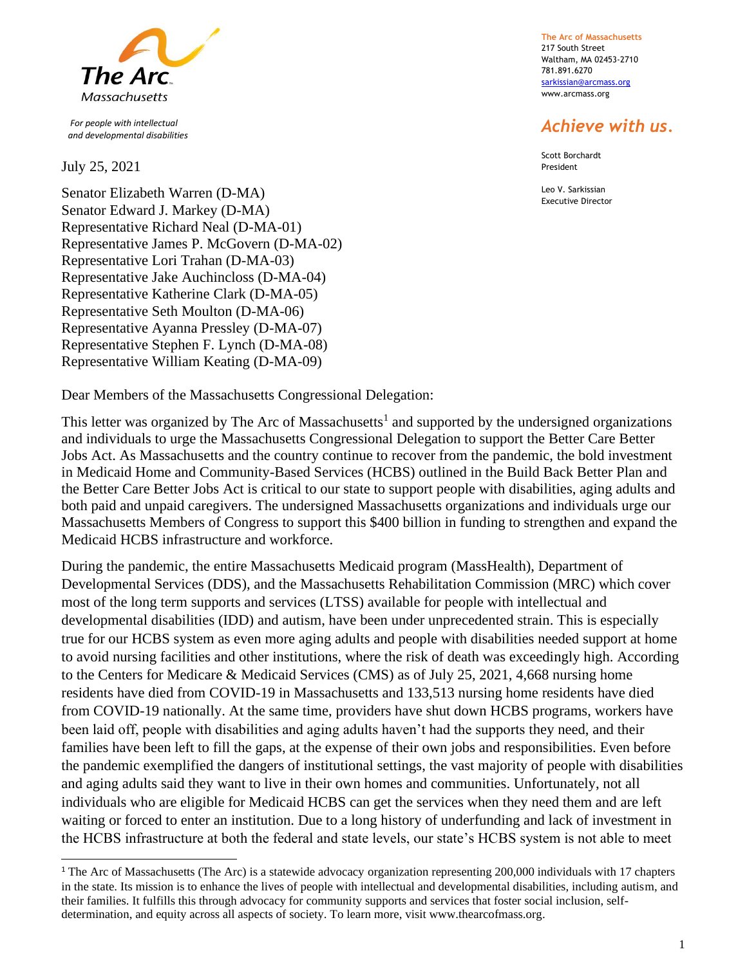

 *For people with intellectual and developmental disabilities*

July 25, 2021

Senator Elizabeth Warren (D-MA) Senator Edward J. Markey (D-MA) Representative Richard Neal (D-MA-01) Representative James P. McGovern (D-MA-02) Representative Lori Trahan (D-MA-03) Representative Jake Auchincloss (D-MA-04) Representative Katherine Clark (D-MA-05) Representative Seth Moulton (D-MA-06) Representative Ayanna Pressley (D-MA-07) Representative Stephen F. Lynch (D-MA-08) Representative William Keating (D-MA-09)

Dear Members of the Massachusetts Congressional Delegation:

This letter was organized by The Arc of Massachusetts<sup>1</sup> and supported by the undersigned organizations and individuals to urge the Massachusetts Congressional Delegation to support the Better Care Better Jobs Act. As Massachusetts and the country continue to recover from the pandemic, the bold investment in Medicaid Home and Community-Based Services (HCBS) outlined in the Build Back Better Plan and the Better Care Better Jobs Act is critical to our state to support people with disabilities, aging adults and both paid and unpaid caregivers. The undersigned Massachusetts organizations and individuals urge our Massachusetts Members of Congress to support this \$400 billion in funding to strengthen and expand the Medicaid HCBS infrastructure and workforce.

During the pandemic, the entire Massachusetts Medicaid program (MassHealth), Department of Developmental Services (DDS), and the Massachusetts Rehabilitation Commission (MRC) which cover most of the long term supports and services (LTSS) available for people with intellectual and developmental disabilities (IDD) and autism, have been under unprecedented strain. This is especially true for our HCBS system as even more aging adults and people with disabilities needed support at home to avoid nursing facilities and other institutions, where the risk of death was exceedingly high. According to the Centers for Medicare & Medicaid Services (CMS) as of July 25, 2021, 4,668 nursing home residents have died from COVID-19 in Massachusetts and 133,513 nursing home residents have died from COVID-19 nationally. At the same time, providers have shut down HCBS programs, workers have been laid off, people with disabilities and aging adults haven't had the supports they need, and their families have been left to fill the gaps, at the expense of their own jobs and responsibilities. Even before the pandemic exemplified the dangers of institutional settings, the vast majority of people with disabilities and aging adults said they want to live in their own homes and communities. Unfortunately, not all individuals who are eligible for Medicaid HCBS can get the services when they need them and are left waiting or forced to enter an institution. Due to a long history of underfunding and lack of investment in the HCBS infrastructure at both the federal and state levels, our state's HCBS system is not able to meet

**The Arc of Massachusetts** 217 South Street Waltham, MA 02453-2710 781.891.6270 [sarkissian@arcmass.org](mailto:sarkissian@arcmass.org) [www.arcmass.org](http://www.arcmass.org/)

## *Achieve with us.*

Scott Borchardt President

Leo V. Sarkissian Executive Director

<sup>&</sup>lt;sup>1</sup> The Arc of Massachusetts (The Arc) is a statewide advocacy organization representing 200,000 individuals with 17 chapters in the state. Its mission is to enhance the lives of people with intellectual and developmental disabilities, including autism, and their families. It fulfills this through advocacy for community supports and services that foster social inclusion, selfdetermination, and equity across all aspects of society. To learn more, visit www.thearcofmass.org.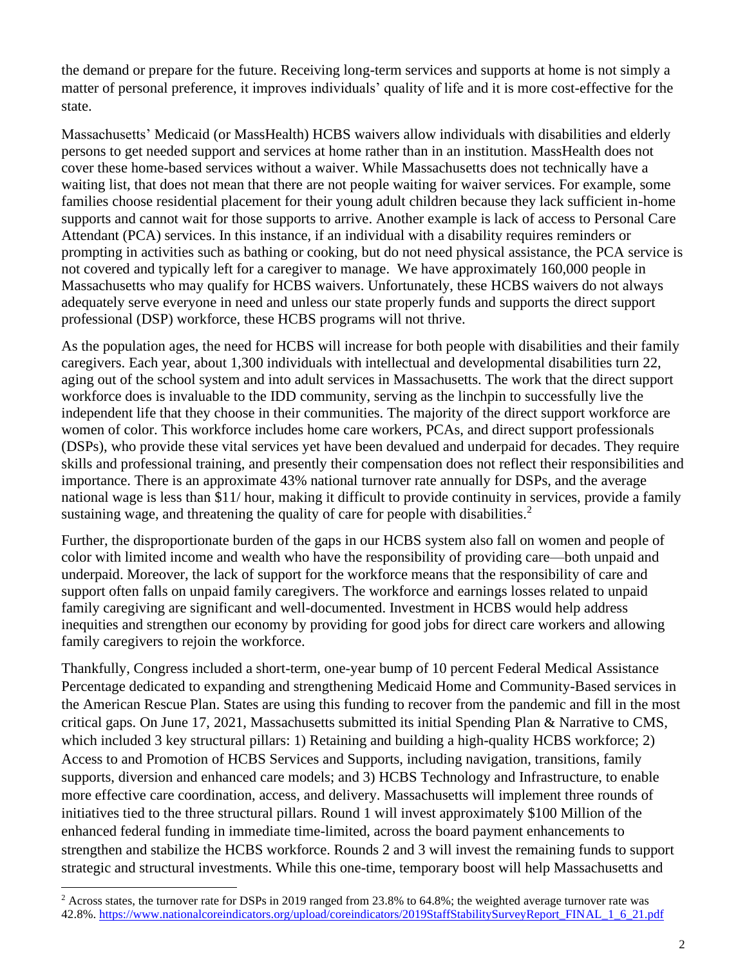the demand or prepare for the future. Receiving long-term services and supports at home is not simply a matter of personal preference, [it improves individuals' quality of life](https://mathematica.org/projects/research-and-evaluation-of-the-money-follows-the-person-mfp-demonstration-grants) and it is more cost-effective for the state.

Massachusetts' Medicaid (or MassHealth) HCBS waivers allow individuals with disabilities and elderly persons to get needed support and services at home rather than in an institution. MassHealth does not cover these home-based services without a waiver. While Massachusetts does not technically have a waiting list, that does not mean that there are not people waiting for waiver services. For example, some families choose residential placement for their young adult children because they lack sufficient in-home supports and cannot wait for those supports to arrive. Another example is lack of access to Personal Care Attendant (PCA) services. In this instance, if an individual with a disability requires reminders or prompting in activities such as bathing or cooking, but do not need physical assistance, the PCA service is not covered and typically left for a caregiver to manage. We have approximately 160,000 people in Massachusetts who may qualify for HCBS waivers. Unfortunately, these HCBS waivers do not always adequately serve everyone in need and unless our state properly funds and supports the direct support professional (DSP) workforce, these HCBS programs will not thrive.

As the population ages, the need for HCBS will increase for both people with disabilities and their family caregivers. Each year, about 1,300 individuals with intellectual and developmental disabilities turn 22, aging out of the school system and into adult services in Massachusetts. The work that the direct support workforce does is invaluable to the IDD community, serving as the linchpin to successfully live the independent life that they choose in their communities. The majority of the direct support workforce are women of color. This workforce includes home care workers, PCAs, and direct support professionals (DSPs), who provide these vital services yet have been devalued and underpaid for decades. They require skills and professional training, and presently their compensation does not reflect their responsibilities and importance. There is an approximate 43% national turnover rate annually for DSPs, and the average national wage is less than \$11/ hour, making it difficult to provide continuity in services, provide a family sustaining wage, and threatening the quality of care for people with disabilities.<sup>2</sup>

Further, the disproportionate burden of the gaps in our HCBS system also fall on women and people of color with limited income and wealth who have the responsibility of providing care—both unpaid and underpaid. Moreover, the lack of support for the workforce means that the responsibility of care and support often falls on unpaid family caregivers. The workforce and earnings losses related to unpaid family caregiving are significant and well-documented. Investment in HCBS would help address inequities and strengthen our economy by providing for good jobs for direct care workers and allowing family caregivers to rejoin the workforce.

Thankfully, Congress included a short-term, one-year bump of 10 percent Federal Medical Assistance Percentage dedicated to expanding and strengthening Medicaid Home and Community-Based services in the American Rescue Plan. States are using this funding to recover from the pandemic and fill in the most critical gaps. On June 17, 2021, Massachusetts submitted its initial Spending Plan & Narrative to CMS, which included 3 key structural pillars: 1) Retaining and building a high-quality HCBS workforce; 2) Access to and Promotion of HCBS Services and Supports, including navigation, transitions, family supports, diversion and enhanced care models; and 3) HCBS Technology and Infrastructure, to enable more effective care coordination, access, and delivery. Massachusetts will implement three rounds of initiatives tied to the three structural pillars. Round 1 will invest approximately \$100 Million of the enhanced federal funding in immediate time-limited, across the board payment enhancements to strengthen and stabilize the HCBS workforce. Rounds 2 and 3 will invest the remaining funds to support strategic and structural investments. While this one-time, temporary boost will help Massachusetts and

<sup>&</sup>lt;sup>2</sup> Across states, the turnover rate for DSPs in 2019 ranged from 23.8% to 64.8%; the weighted average turnover rate was 42.8%. [https://www.nationalcoreindicators.org/upload/coreindicators/2019StaffStabilitySurveyReport\\_FINAL\\_1\\_6\\_21.pdf](https://www.nationalcoreindicators.org/upload/coreindicators/2019StaffStabilitySurveyReport_FINAL_1_6_21.pdf)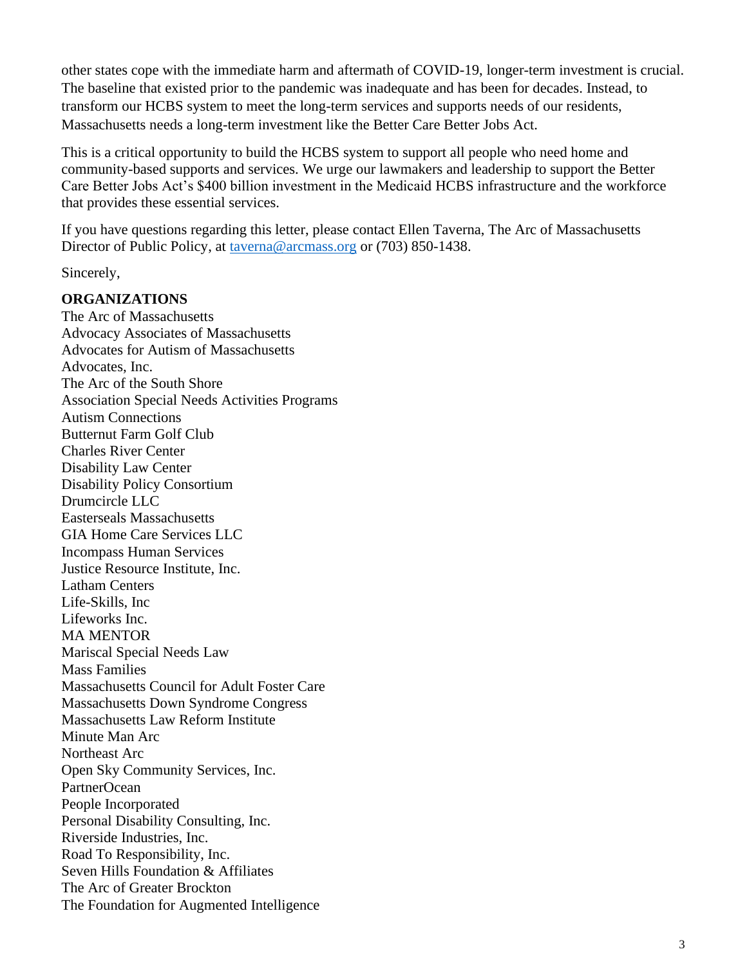other states cope with the immediate harm and aftermath of COVID-19, longer-term investment is crucial. The baseline that existed prior to the pandemic was inadequate and has been for decades. Instead, to transform our HCBS system to meet the long-term services and supports needs of our residents, Massachusetts needs a long-term investment like the Better Care Better Jobs Act.

This is a critical opportunity to build the HCBS system to support all people who need home and community-based supports and services. We urge our lawmakers and leadership to support the Better Care Better Jobs Act's \$400 billion investment in the Medicaid HCBS infrastructure and the workforce that provides these essential services.

If you have questions regarding this letter, please contact Ellen Taverna, The Arc of Massachusetts Director of Public Policy, at [taverna@arcmass.org](mailto:taverna@arcmass.org) or (703) 850-1438.

Sincerely,

## **ORGANIZATIONS**

The Arc of Massachusetts Advocacy Associates of Massachusetts Advocates for Autism of Massachusetts Advocates, Inc. The Arc of the South Shore Association Special Needs Activities Programs Autism Connections Butternut Farm Golf Club Charles River Center Disability Law Center Disability Policy Consortium Drumcircle LLC Easterseals Massachusetts GIA Home Care Services LLC Incompass Human Services Justice Resource Institute, Inc. Latham Centers Life-Skills, Inc Lifeworks Inc. MA MENTOR Mariscal Special Needs Law Mass Families Massachusetts Council for Adult Foster Care Massachusetts Down Syndrome Congress Massachusetts Law Reform Institute Minute Man Arc Northeast Arc Open Sky Community Services, Inc. PartnerOcean People Incorporated Personal Disability Consulting, Inc. Riverside Industries, Inc. Road To Responsibility, Inc. Seven Hills Foundation & Affiliates The Arc of Greater Brockton The Foundation for Augmented Intelligence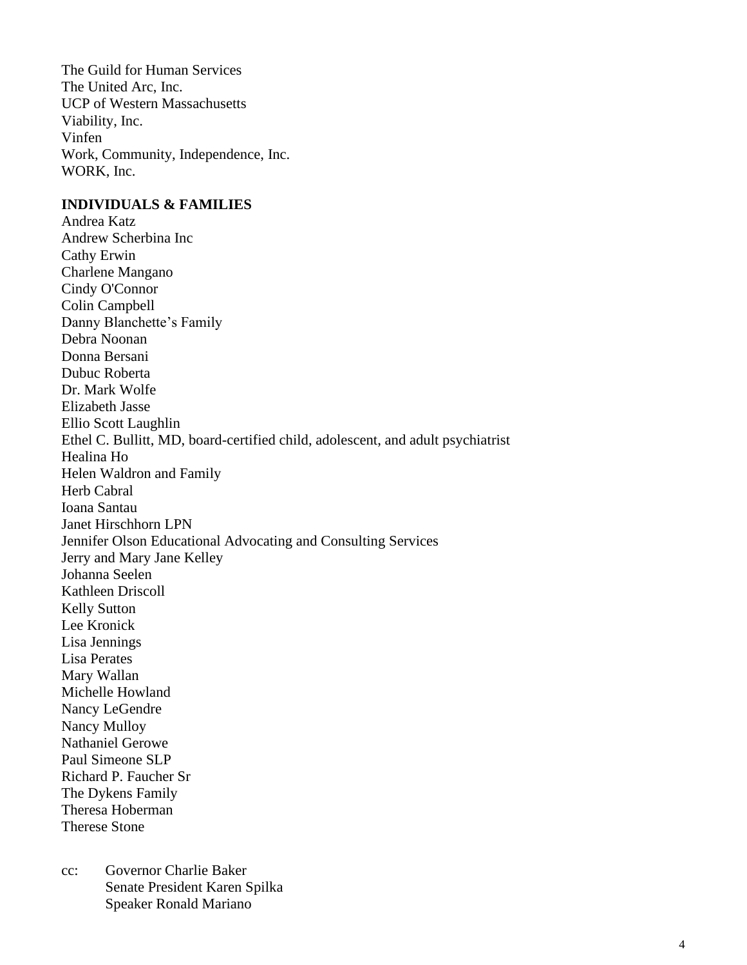The Guild for Human Services The United Arc, Inc. UCP of Western Massachusetts Viability, Inc. Vinfen Work, Community, Independence, Inc. WORK, Inc.

## **INDIVIDUALS & FAMILIES**

Andrea Katz Andrew Scherbina Inc Cathy Erwin Charlene Mangano Cindy O'Connor Colin Campbell Danny Blanchette's Family Debra Noonan Donna Bersani Dubuc Roberta Dr. Mark Wolfe Elizabeth Jasse Ellio Scott Laughlin Ethel C. Bullitt, MD, board-certified child, adolescent, and adult psychiatrist Healina Ho Helen Waldron and Family Herb Cabral Ioana Santau Janet Hirschhorn LPN Jennifer Olson Educational Advocating and Consulting Services Jerry and Mary Jane Kelley Johanna Seelen Kathleen Driscoll Kelly Sutton Lee Kronick Lisa Jennings Lisa Perates Mary Wallan Michelle Howland Nancy LeGendre Nancy Mulloy Nathaniel Gerowe Paul Simeone SLP Richard P. Faucher Sr The Dykens Family Theresa Hoberman Therese Stone

cc: Governor Charlie Baker Senate President Karen Spilka Speaker Ronald Mariano